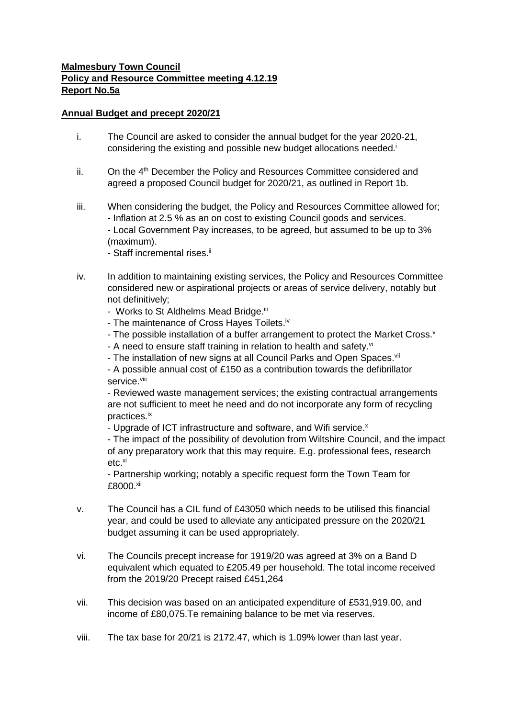## **Malmesbury Town Council Policy and Resource Committee meeting 4.12.19 Report No.5a**

## **Annual Budget and precept 2020/21**

- i. The Council are asked to consider the annual budget for the year 2020-21, considering the existing and possible new budget allocations needed.<sup>i</sup>
- $ii.$  On the  $4<sup>th</sup>$  December the Policy and Resources Committee considered and agreed a proposed Council budget for 2020/21, as outlined in Report 1b.
- iii. When considering the budget, the Policy and Resources Committee allowed for; - Inflation at 2.5 % as an on cost to existing Council goods and services. - Local Government Pay increases, to be agreed, but assumed to be up to 3% (maximum).
	- Staff incremental rises.<sup>ii</sup>
- iv. In addition to maintaining existing services, the Policy and Resources Committee considered new or aspirational projects or areas of service delivery, notably but not definitively;
	- Works to St Aldhelms Mead Bridge.<sup>iii</sup>
	- The maintenance of Cross Hayes Toilets.<sup>iv</sup>
	- The possible installation of a buffer arrangement to protect the Market Cross. $v$
	- A need to ensure staff training in relation to health and safety.vi
	- The installation of new signs at all Council Parks and Open Spaces.<sup>vii</sup>
	- A possible annual cost of £150 as a contribution towards the defibrillator service.<sup>viii</sup>

- Reviewed waste management services; the existing contractual arrangements are not sufficient to meet he need and do not incorporate any form of recycling practices.ix

- Upgrade of ICT infrastructure and software, and Wifi service.<sup>x</sup>

- The impact of the possibility of devolution from Wiltshire Council, and the impact of any preparatory work that this may require. E.g. professional fees, research  $etc.<sup>xi</sup>$ 

- Partnership working; notably a specific request form the Town Team for £8000.xii

- v. The Council has a CIL fund of £43050 which needs to be utilised this financial year, and could be used to alleviate any anticipated pressure on the 2020/21 budget assuming it can be used appropriately.
- vi. The Councils precept increase for 1919/20 was agreed at 3% on a Band D equivalent which equated to £205.49 per household. The total income received from the 2019/20 Precept raised £451,264
- vii. This decision was based on an anticipated expenditure of £531,919.00, and income of £80,075.Te remaining balance to be met via reserves.
- viii. The tax base for 20/21 is 2172.47, which is 1.09% lower than last year.